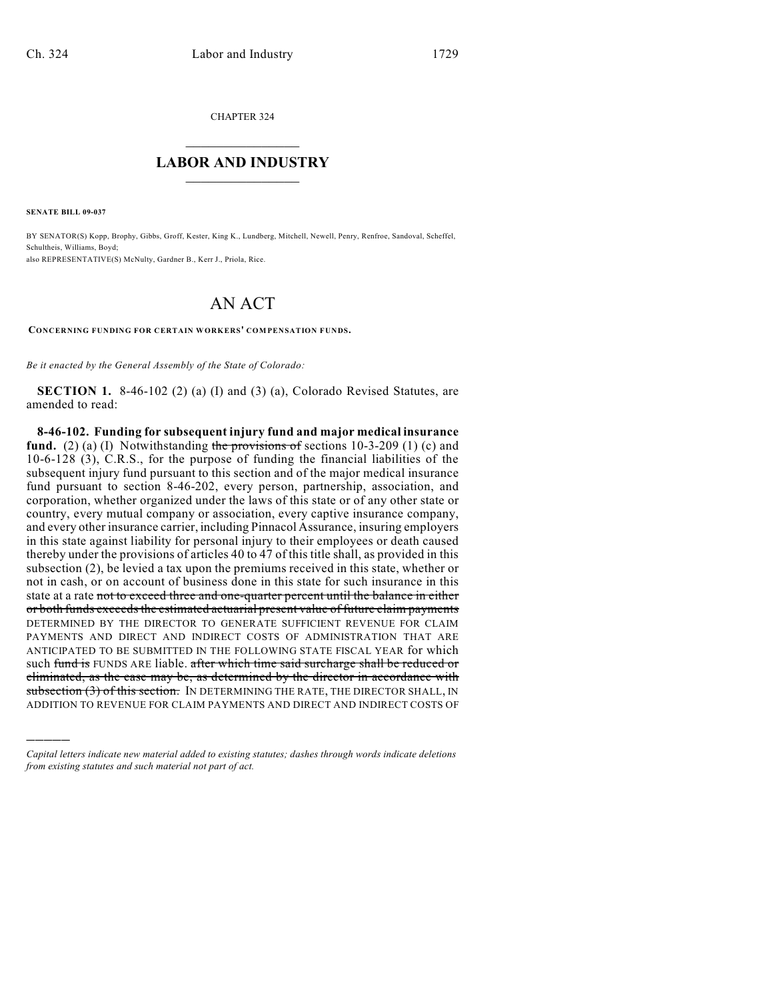CHAPTER 324

## $\mathcal{L}_\text{max}$  . The set of the set of the set of the set of the set of the set of the set of the set of the set of the set of the set of the set of the set of the set of the set of the set of the set of the set of the set **LABOR AND INDUSTRY**  $\frac{1}{\sqrt{2}}$  ,  $\frac{1}{\sqrt{2}}$  ,  $\frac{1}{\sqrt{2}}$  ,  $\frac{1}{\sqrt{2}}$  ,  $\frac{1}{\sqrt{2}}$  ,  $\frac{1}{\sqrt{2}}$

**SENATE BILL 09-037**

)))))

BY SENATOR(S) Kopp, Brophy, Gibbs, Groff, Kester, King K., Lundberg, Mitchell, Newell, Penry, Renfroe, Sandoval, Scheffel, Schultheis, Williams, Boyd; also REPRESENTATIVE(S) McNulty, Gardner B., Kerr J., Priola, Rice.

## AN ACT

**CONCERNING FUNDING FOR CERTAIN WORKERS' COMPENSATION FUNDS.**

*Be it enacted by the General Assembly of the State of Colorado:*

**SECTION 1.** 8-46-102 (2) (a) (I) and (3) (a), Colorado Revised Statutes, are amended to read:

**8-46-102. Funding for subsequent injury fund and major medical insurance fund.** (2) (a) (I) Notwithstanding the provisions of sections  $10-3-209$  (1) (c) and 10-6-128 (3), C.R.S., for the purpose of funding the financial liabilities of the subsequent injury fund pursuant to this section and of the major medical insurance fund pursuant to section 8-46-202, every person, partnership, association, and corporation, whether organized under the laws of this state or of any other state or country, every mutual company or association, every captive insurance company, and every other insurance carrier, including Pinnacol Assurance, insuring employers in this state against liability for personal injury to their employees or death caused thereby under the provisions of articles 40 to 47 of this title shall, as provided in this subsection (2), be levied a tax upon the premiums received in this state, whether or not in cash, or on account of business done in this state for such insurance in this state at a rate not to exceed three and one-quarter percent until the balance in either or both funds exceeds the estimated actuarial present value of future claim payments DETERMINED BY THE DIRECTOR TO GENERATE SUFFICIENT REVENUE FOR CLAIM PAYMENTS AND DIRECT AND INDIRECT COSTS OF ADMINISTRATION THAT ARE ANTICIPATED TO BE SUBMITTED IN THE FOLLOWING STATE FISCAL YEAR for which such fund is FUNDS ARE liable. after which time said surcharge shall be reduced or eliminated, as the case may be, as determined by the director in accordance with  $subsection (3)$  of this section. In DETERMINING THE RATE, THE DIRECTOR SHALL, IN ADDITION TO REVENUE FOR CLAIM PAYMENTS AND DIRECT AND INDIRECT COSTS OF

*Capital letters indicate new material added to existing statutes; dashes through words indicate deletions from existing statutes and such material not part of act.*